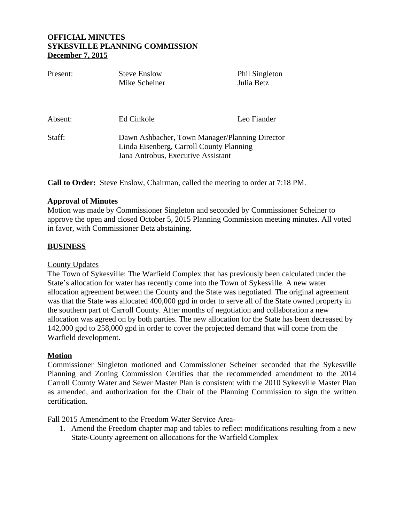| Present: | <b>Steve Enslow</b><br>Mike Scheiner                                                                                             | Phil Singleton<br>Julia Betz |
|----------|----------------------------------------------------------------------------------------------------------------------------------|------------------------------|
|          |                                                                                                                                  |                              |
| Absent:  | Ed Cinkole                                                                                                                       | Leo Fiander                  |
| Staff:   | Dawn Ashbacher, Town Manager/Planning Director<br>Linda Eisenberg, Carroll County Planning<br>Jana Antrobus, Executive Assistant |                              |

**Call to Order:** Steve Enslow, Chairman, called the meeting to order at 7:18 PM.

### **Approval of Minutes**

Motion was made by Commissioner Singleton and seconded by Commissioner Scheiner to approve the open and closed October 5, 2015 Planning Commission meeting minutes. All voted in favor, with Commissioner Betz abstaining.

# **BUSINESS**

### County Updates

The Town of Sykesville: The Warfield Complex that has previously been calculated under the State's allocation for water has recently come into the Town of Sykesville. A new water allocation agreement between the County and the State was negotiated. The original agreement was that the State was allocated 400,000 gpd in order to serve all of the State owned property in the southern part of Carroll County. After months of negotiation and collaboration a new allocation was agreed on by both parties. The new allocation for the State has been decreased by 142,000 gpd to 258,000 gpd in order to cover the projected demand that will come from the Warfield development.

# **Motion**

Commissioner Singleton motioned and Commissioner Scheiner seconded that the Sykesville Planning and Zoning Commission Certifies that the recommended amendment to the 2014 Carroll County Water and Sewer Master Plan is consistent with the 2010 Sykesville Master Plan as amended, and authorization for the Chair of the Planning Commission to sign the written certification.

Fall 2015 Amendment to the Freedom Water Service Area-

1. Amend the Freedom chapter map and tables to reflect modifications resulting from a new State-County agreement on allocations for the Warfield Complex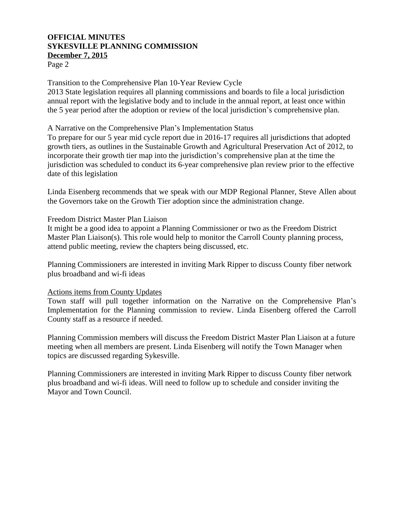Page 2

Transition to the Comprehensive Plan 10-Year Review Cycle

2013 State legislation requires all planning commissions and boards to file a local jurisdiction annual report with the legislative body and to include in the annual report, at least once within the 5 year period after the adoption or review of the local jurisdiction's comprehensive plan.

#### A Narrative on the Comprehensive Plan's Implementation Status

To prepare for our 5 year mid cycle report due in 2016-17 requires all jurisdictions that adopted growth tiers, as outlines in the Sustainable Growth and Agricultural Preservation Act of 2012, to incorporate their growth tier map into the jurisdiction's comprehensive plan at the time the jurisdiction was scheduled to conduct its 6-year comprehensive plan review prior to the effective date of this legislation

Linda Eisenberg recommends that we speak with our MDP Regional Planner, Steve Allen about the Governors take on the Growth Tier adoption since the administration change.

#### Freedom District Master Plan Liaison

It might be a good idea to appoint a Planning Commissioner or two as the Freedom District Master Plan Liaison(s). This role would help to monitor the Carroll County planning process, attend public meeting, review the chapters being discussed, etc.

Planning Commissioners are interested in inviting Mark Ripper to discuss County fiber network plus broadband and wi-fi ideas

### Actions items from County Updates

Town staff will pull together information on the Narrative on the Comprehensive Plan's Implementation for the Planning commission to review. Linda Eisenberg offered the Carroll County staff as a resource if needed.

Planning Commission members will discuss the Freedom District Master Plan Liaison at a future meeting when all members are present. Linda Eisenberg will notify the Town Manager when topics are discussed regarding Sykesville.

Planning Commissioners are interested in inviting Mark Ripper to discuss County fiber network plus broadband and wi-fi ideas. Will need to follow up to schedule and consider inviting the Mayor and Town Council.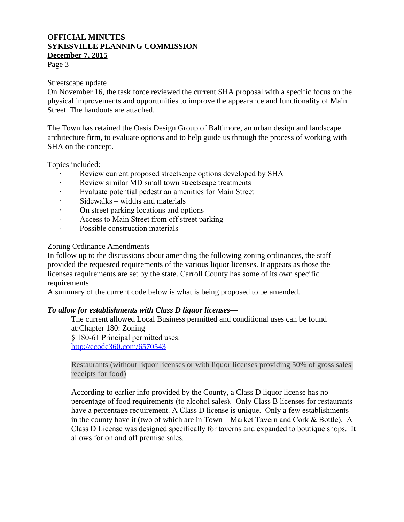Page 3

#### Streetscape update

On November 16, the task force reviewed the current SHA proposal with a specific focus on the physical improvements and opportunities to improve the appearance and functionality of Main Street. The handouts are attached.

The Town has retained the Oasis Design Group of Baltimore, an urban design and landscape architecture firm, to evaluate options and to help guide us through the process of working with SHA on the concept.

Topics included:

- Review current proposed streetscape options developed by SHA
- Review similar MD small town streetscape treatments
- · Evaluate potential pedestrian amenities for Main Street
- Sidewalks widths and materials
- · On street parking locations and options
- · Access to Main Street from off street parking
- · Possible construction materials

### Zoning Ordinance Amendments

In follow up to the discussions about amending the following zoning ordinances, the staff provided the requested requirements of the various liquor licenses. It appears as those the licenses requirements are set by the state. Carroll County has some of its own specific requirements.

A summary of the current code below is what is being proposed to be amended.

### *To allow for establishments with Class D liquor licenses—*

The current allowed Local Business permitted and conditional uses can be found at:Chapter 180: Zoning § 180-61 Principal permitted uses. <http://ecode360.com/6570543>

Restaurants (without liquor licenses or with liquor licenses providing 50% of gross sales receipts for food)

According to earlier info provided by the County, a Class D liquor license has no percentage of food requirements (to alcohol sales). Only Class B licenses for restaurants have a percentage requirement. A Class D license is unique. Only a few establishments in the county have it (two of which are in Town – Market Tavern and Cork & Bottle). A Class D License was designed specifically for taverns and expanded to boutique shops. It allows for on and off premise sales.